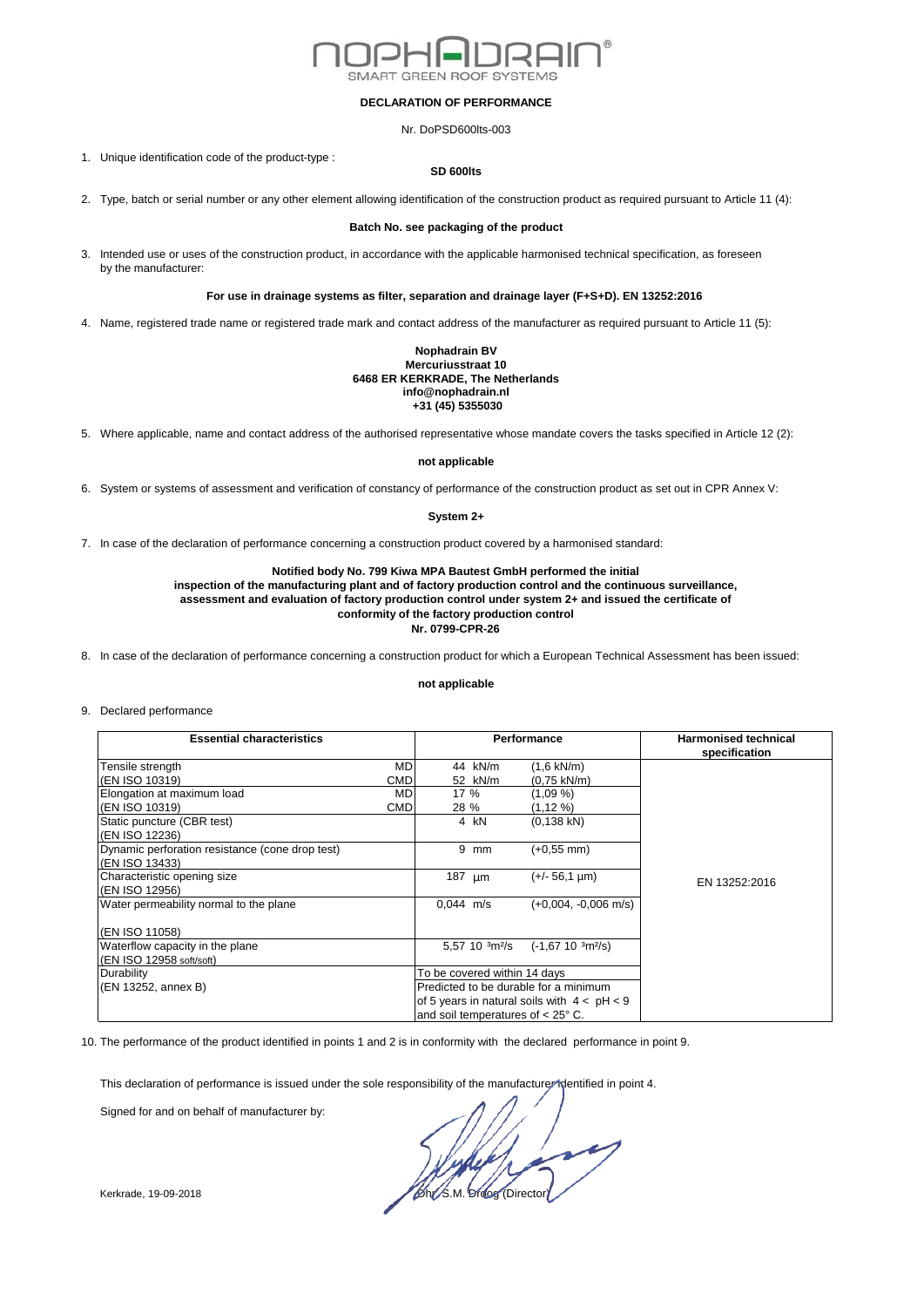

### **DECLARATION OF PERFORMANCE**

Nr. DoPSD600lts-003

1. Unique identification code of the product-type :

### **SD 600lts**

2. Type, batch or serial number or any other element allowing identification of the construction product as required pursuant to Article 11 (4):

## **Batch No. see packaging of the product**

3. Intended use or uses of the construction product, in accordance with the applicable harmonised technical specification, as foreseen by the manufacturer:

# **For use in drainage systems as filter, separation and drainage layer (F+S+D). EN 13252:2016**

4. Name, registered trade name or registered trade mark and contact address of the manufacturer as required pursuant to Article 11 (5):

### **Nophadrain BV Mercuriusstraat 10 6468 ER KERKRADE, The Netherlands info@nophadrain.nl +31 (45) 5355030**

5. Where applicable, name and contact address of the authorised representative whose mandate covers the tasks specified in Article 12 (2):

### **not applicable**

6. System or systems of assessment and verification of constancy of performance of the construction product as set out in CPR Annex V:

### **System 2+**

7. In case of the declaration of performance concerning a construction product covered by a harmonised standard:

# **Notified body No. 799 Kiwa MPA Bautest GmbH performed the initial**

**inspection of the manufacturing plant and of factory production control and the continuous surveillance, assessment and evaluation of factory production control under system 2+ and issued the certificate of conformity of the factory production control Nr. 0799-CPR-26**

8. In case of the declaration of performance concerning a construction product for which a European Technical Assessment has been issued:

### **not applicable**

#### 9. Declared performance

| <b>Essential characteristics</b>                |            | Performance                                   |                          |                         | <b>Harmonised technical</b><br>specification |
|-------------------------------------------------|------------|-----------------------------------------------|--------------------------|-------------------------|----------------------------------------------|
| Tensile strength                                | <b>MD</b>  |                                               | 44 kN/m                  | $(1,6 \text{ kN/m})$    |                                              |
| (EN ISO 10319)                                  | CMD        |                                               | 52 kN/m                  | $(0.75 \text{ kN/m})$   |                                              |
| Elongation at maximum load                      | <b>MD</b>  | 17 %                                          |                          | (1,09 %)                |                                              |
| (EN ISO 10319)                                  | <b>CMD</b> | 28 %                                          |                          | (1, 12, 96)             |                                              |
| Static puncture (CBR test)                      |            |                                               | 4 kN                     | $(0.138$ kN)            |                                              |
| (EN ISO 12236)                                  |            |                                               |                          |                         |                                              |
| Dynamic perforation resistance (cone drop test) |            | 9                                             | mm                       | $(+0.55$ mm)            |                                              |
| (EN ISO 13433)                                  |            |                                               |                          |                         |                                              |
| Characteristic opening size                     |            | 187 $\mu$ m                                   |                          | $(+/- 56.1 \text{ µm})$ | EN 13252:2016                                |
| (EN ISO 12956)                                  |            |                                               |                          |                         |                                              |
| Water permeability normal to the plane          |            | $0.044$ m/s                                   |                          | $(+0.004, -0.006$ m/s)  |                                              |
| (EN ISO 11058)                                  |            |                                               |                          |                         |                                              |
| Waterflow capacity in the plane                 |            |                                               | 5,57 10 $\frac{3m^2}{s}$ | $(-1,67,10,3m^{2}/s)$   |                                              |
| (EN ISO 12958 soft/soft)                        |            |                                               |                          |                         |                                              |
| Durability                                      |            | To be covered within 14 days                  |                          |                         |                                              |
| (EN 13252, annex B)                             |            | Predicted to be durable for a minimum         |                          |                         |                                              |
|                                                 |            | of 5 years in natural soils with $4 < pH < 9$ |                          |                         |                                              |
|                                                 |            | and soil temperatures of $<$ 25 $^{\circ}$ C. |                          |                         |                                              |

10. The performance of the product identified in points 1 and 2 is in conformity with the declared performance in point 9.

This declaration of performance is issued under the sole responsibility of the manufacturer identified in point 4.

Signed for and on behalf of manufacturer by:

Kerkrade, 19-09-2018 **Director** Control of Control of Control of Director Control of Directors and Directors and Directors and Directors and Directors and Directors and Directors and Directors and Directors and Directors a